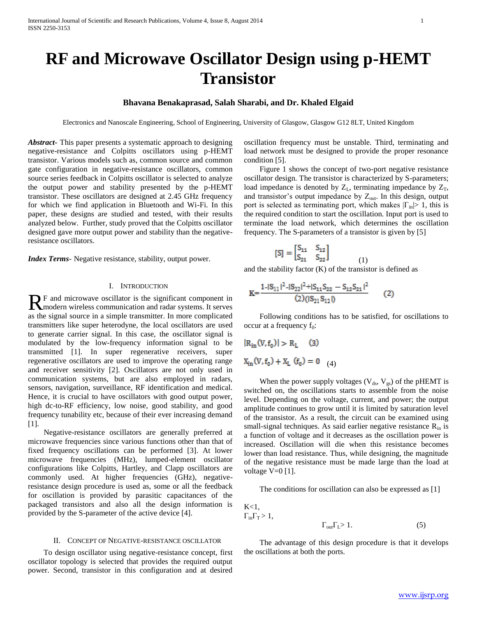# **RF and Microwave Oscillator Design using p-HEMT Transistor**

# **Bhavana Benakaprasad, Salah Sharabi, and Dr. Khaled Elgaid**

Electronics and Nanoscale Engineering, School of Engineering, University of Glasgow, Glasgow G12 8LT, United Kingdom

*Abstract***-** This paper presents a systematic approach to designing negative-resistance and Colpitts oscillators using p-HEMT transistor. Various models such as, common source and common gate configuration in negative-resistance oscillators, common source series feedback in Colpitts oscillator is selected to analyze the output power and stability presented by the p-HEMT transistor. These oscillators are designed at 2.45 GHz frequency for which we find application in Bluetooth and Wi-Fi. In this paper, these designs are studied and tested, with their results analyzed below. Further, study proved that the Colpitts oscillator designed gave more output power and stability than the negativeresistance oscillators.

*Index Terms*- Negative resistance, stability, output power.

## I. INTRODUCTION

F and microwave oscillator is the significant component in R F and microwave oscillator is the significant component in modern wireless communication and radar systems. It serves as the signal source in a simple transmitter. In more complicated transmitters like super heterodyne, the local oscillators are used to generate carrier signal. In this case, the oscillator signal is modulated by the low-frequency information signal to be transmitted [1]. In super regenerative receivers, super regenerative oscillators are used to improve the operating range and receiver sensitivity [2]. Oscillators are not only used in communication systems, but are also employed in radars, sensors, navigation, surveillance, RF identification and medical. Hence, it is crucial to have oscillators with good output power, high dc-to-RF efficiency, low noise, good stability, and good frequency tunability etc, because of their ever increasing demand [1].

 Negative-resistance oscillators are generally preferred at microwave frequencies since various functions other than that of fixed frequency oscillations can be performed [3]. At lower microwave frequencies (MHz), lumped-element oscillator configurations like Colpitts, Hartley, and Clapp oscillators are commonly used. At higher frequencies (GHz), negativeresistance design procedure is used as, some or all the feedback for oscillation is provided by parasitic capacitances of the packaged transistors and also all the design information is provided by the S-parameter of the active device [4].

#### II. CONCEPT OF NEGATIVE-RESISTANCE OSCILLATOR

 To design oscillator using negative-resistance concept, first oscillator topology is selected that provides the required output power. Second, transistor in this configuration and at desired oscillation frequency must be unstable. Third, terminating and load network must be designed to provide the proper resonance condition [5].

 Figure 1 shows the concept of two-port negative resistance oscillator design. The transistor is characterized by S-parameters; load impedance is denoted by  $Z_L$ , terminating impedance by  $Z_T$ , and transistor's output impedance by  $Z_{\text{out}}$ . In this design, output port is selected as terminating port, which makes  $|\Gamma_{in}| > 1$ , this is the required condition to start the oscillation. Input port is used to terminate the load network, which determines the oscillation frequency. The S-parameters of a transistor is given by [5]

$$
[S] = \begin{bmatrix} S_{11} & S_{12} \\ S_{21} & S_{22} \end{bmatrix}
$$
 (1)

and the stability factor (K) of the transistor is defined as

$$
K = \frac{1 - |S_{11}|^2 - |S_{22}|^2 + |S_{11}S_{22} - S_{12}S_{21}|^2}{(2)(|S_{21}S_{12}|)}
$$
(2)

 Following conditions has to be satisfied, for oscillations to occur at a frequency  $f_0$ :

$$
|R_{in}(V, f_0)| > R_L \quad (3)
$$
  

$$
X_{in}(V, f_0) + X_L \quad (f_0) = 0 \quad (4)
$$

When the power supply voltages ( $V_{ds}$ ,  $V_{gs}$ ) of the pHEMT is switched on, the oscillations starts to assemble from the noise level. Depending on the voltage, current, and power; the output amplitude continues to grow until it is limited by saturation level of the transistor. As a result, the circuit can be examined using small-signal techniques. As said earlier negative resistance  $R_{in}$  is a function of voltage and it decreases as the oscillation power is increased. Oscillation will die when this resistance becomes lower than load resistance. Thus, while designing, the magnitude of the negative resistance must be made large than the load at voltage  $V=0$  [1].

The conditions for oscillation can also be expressed as [1]

$$
\begin{array}{l}\nK<1, \\
\Gamma_{\text{in}}\Gamma_{\text{T}}>1,\n\end{array}
$$

$$
\Gamma_{\text{out}} \Gamma_{\text{L}} > 1. \tag{5}
$$

 The advantage of this design procedure is that it develops the oscillations at both the ports.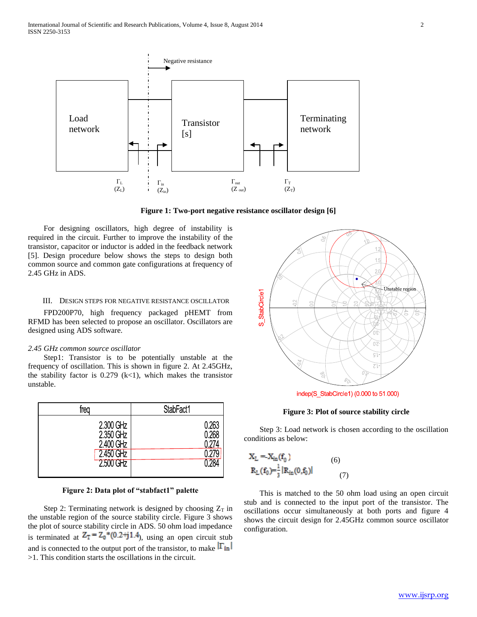

**Figure 1: Two-port negative resistance oscillator design [6]**

 For designing oscillators, high degree of instability is required in the circuit. Further to improve the instability of the transistor, capacitor or inductor is added in the feedback network [5]. Design procedure below shows the steps to design both common source and common gate configurations at frequency of 2.45 GHz in ADS.

## III. DESIGN STEPS FOR NEGATIVE RESISTANCE OSCILLATOR

 FPD200P70, high frequency packaged pHEMT from RFMD has been selected to propose an oscillator. Oscillators are designed using ADS software.

## *2.45 GHz common source oscillator*

 Step1: Transistor is to be potentially unstable at the frequency of oscillation. This is shown in figure 2. At 2.45GHz, the stability factor is  $0.279$  (k<1), which makes the transistor unstable.

| trea                               | StabFact1      |
|------------------------------------|----------------|
| 2.300 GHz<br>2.350 GHz<br>2400 GHz | 0.263<br>0.268 |
| 2.450 GHz                          |                |
| $2500$ GHz                         |                |

#### **Figure 2: Data plot of "stabfact1" palette**

Step 2: Terminating network is designed by choosing  $Z_T$  in the unstable region of the source stability circle. Figure 3 shows the plot of source stability circle in ADS. 50 ohm load impedance is terminated at  $Z_T = Z_0 * (0.2 + j1.4)$ , using an open circuit stub and is connected to the output port of the transistor, to make  $|\Gamma_{\text{in}}|$ >1. This condition starts the oscillations in the circuit.



## **Figure 3: Plot of source stability circle**

 Step 3: Load network is chosen according to the oscillation conditions as below:

$$
X_{L} = X_{in}(f_{0})
$$
\n
$$
R_{L}(f_{0}) = \frac{1}{3} |R_{in}(0, f_{0})|
$$
\n(6)

 This is matched to the 50 ohm load using an open circuit stub and is connected to the input port of the transistor. The oscillations occur simultaneously at both ports and figure 4 shows the circuit design for 2.45GHz common source oscillator configuration.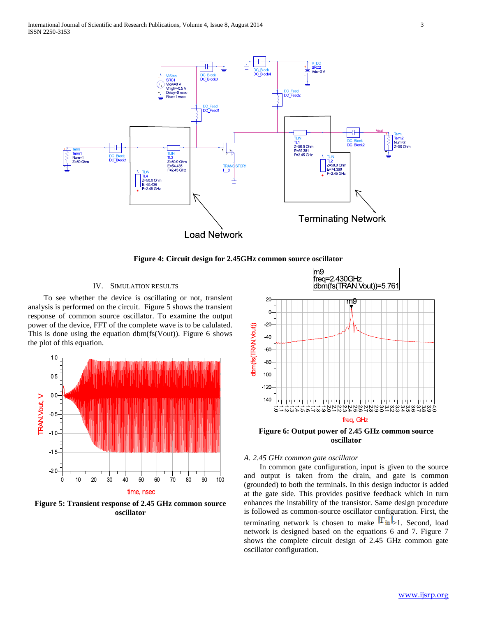

**Figure 4: Circuit design for 2.45GHz common source oscillator**

# IV. SIMULATION RESULTS

 To see whether the device is oscillating or not, transient analysis is performed on the circuit. Figure 5 shows the transient response of common source oscillator. To examine the output power of the device, FFT of the complete wave is to be calulated. This is done using the equation dbm(fs(Vout)). Figure 6 shows the plot of this equation.



**Figure 5: Transient response of 2.45 GHz common source oscillator**



m<sub>9</sub>

**Figure 6: Output power of 2.45 GHz common source oscillator**

## *A. 2.45 GHz common gate oscillator*

 In common gate configuration, input is given to the source and output is taken from the drain, and gate is common (grounded) to both the terminals. In this design inductor is added at the gate side. This provides positive feedback which in turn enhances the instability of the transistor. Same design procedure is followed as common-source oscillator configuration. First, the terminating network is chosen to make  $|\Gamma_{in}|$  1. Second, load network is designed based on the equations 6 and 7. Figure 7 shows the complete circuit design of 2.45 GHz common gate oscillator configuration.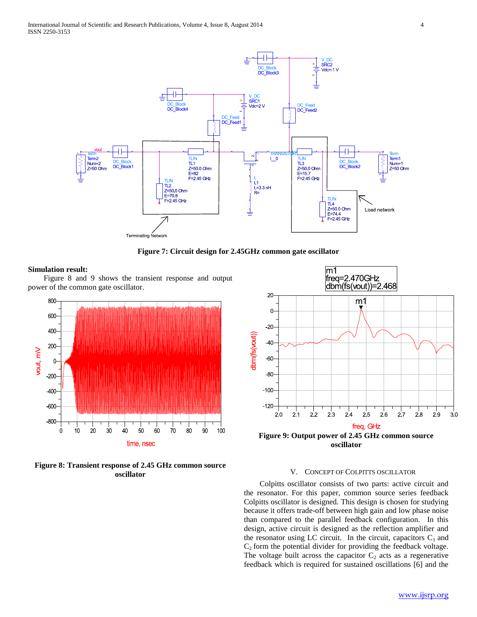

**Figure 7: Circuit design for 2.45GHz common gate oscillator**

## **Simulation result:**

 Figure 8 and 9 shows the transient response and output power of the common gate oscillator.



**Figure 8: Transient response of 2.45 GHz common source oscillator**



## V. CONCEPT OF COLPITTS OSCILLATOR

 Colpitts oscillator consists of two parts: active circuit and the resonator. For this paper, common source series feedback Colpitts oscillator is designed. This design is chosen for studying because it offers trade-off between high gain and low phase noise than compared to the parallel feedback configuration. In this design, active circuit is designed as the reflection amplifier and the resonator using LC circuit. In the circuit, capacitors  $C_1$  and  $C_2$  form the potential divider for providing the feedback voltage. The voltage built across the capacitor  $C_2$  acts as a regenerative feedback which is required for sustained oscillations [6] and the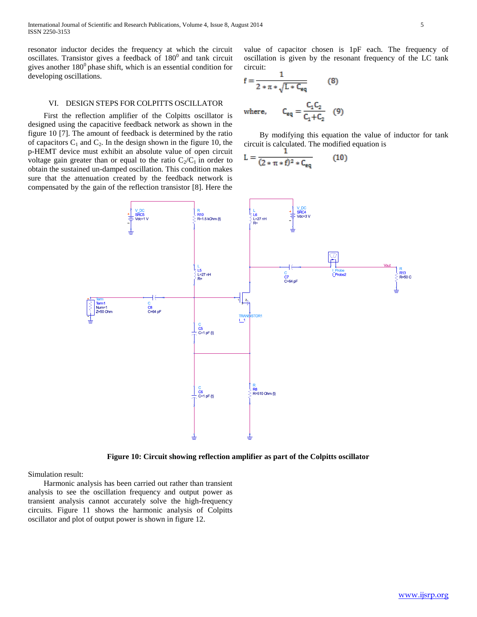resonator inductor decides the frequency at which the circuit oscillates. Transistor gives a feedback of  $180<sup>0</sup>$  and tank circuit gives another  $180^0$  phase shift, which is an essential condition for developing oscillations.

#### VI. DESIGN STEPS FOR COLPITTS OSCILLATOR

 First the reflection amplifier of the Colpitts oscillator is designed using the capacitive feedback network as shown in the figure 10 [7]. The amount of feedback is determined by the ratio of capacitors  $C_1$  and  $C_2$ . In the design shown in the figure 10, the p-HEMT device must exhibit an absolute value of open circuit voltage gain greater than or equal to the ratio  $C_2/C_1$  in order to obtain the sustained un-damped oscillation. This condition makes sure that the attenuation created by the feedback network is compensated by the gain of the reflection transistor [8]. Here the

value of capacitor chosen is 1pF each. The frequency of oscillation is given by the resonant frequency of the LC tank circuit:

$$
f = \frac{1}{2 * \pi * \sqrt{L * C_{eq}}} \qquad (8)
$$
  
where,  $C_{eq} = \frac{C_1 C_2}{C_1 + C_2} \qquad (9)$ 

 By modifying this equation the value of inductor for tank circuit is calculated. The modified equation is

$$
L = \frac{1}{(2 * \pi * f)^2 * C_{eq}} \qquad (10)
$$



**Figure 10: Circuit showing reflection amplifier as part of the Colpitts oscillator**

Simulation result:

 Harmonic analysis has been carried out rather than transient analysis to see the oscillation frequency and output power as transient analysis cannot accurately solve the high-frequency circuits. Figure 11 shows the harmonic analysis of Colpitts oscillator and plot of output power is shown in figure 12.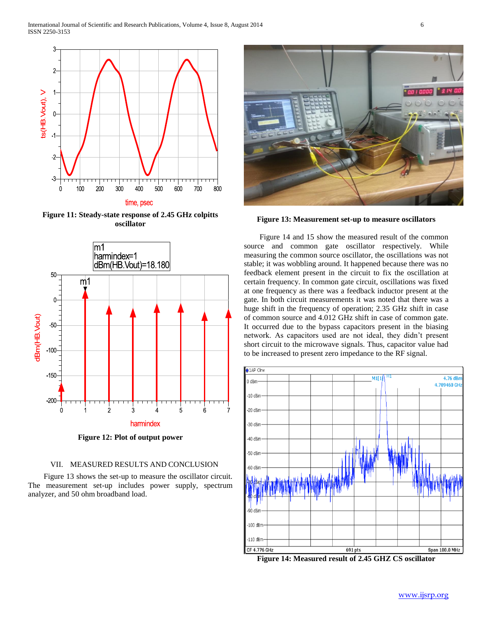

**Figure 11: Steady-state response of 2.45 GHz colpitts oscillator**



**Figure 12: Plot of output power**

## VII. MEASURED RESULTS AND CONCLUSION

 Figure 13 shows the set-up to measure the oscillator circuit. The measurement set-up includes power supply, spectrum analyzer, and 50 ohm broadband load.



**Figure 13: Measurement set-up to measure oscillators**

 Figure 14 and 15 show the measured result of the common source and common gate oscillator respectively. While measuring the common source oscillator, the oscillations was not stable; it was wobbling around. It happened because there was no feedback element present in the circuit to fix the oscillation at certain frequency. In common gate circuit, oscillations was fixed at one frequency as there was a feedback inductor present at the gate. In both circuit measurements it was noted that there was a huge shift in the frequency of operation; 2.35 GHz shift in case of common source and 4.012 GHz shift in case of common gate. It occurred due to the bypass capacitors present in the biasing network. As capacitors used are not ideal, they didn't present short circuit to the microwave signals. Thus, capacitor value had to be increased to present zero impedance to the RF signal.



**Figure 14: Measured result of 2.45 GHZ CS oscillator**